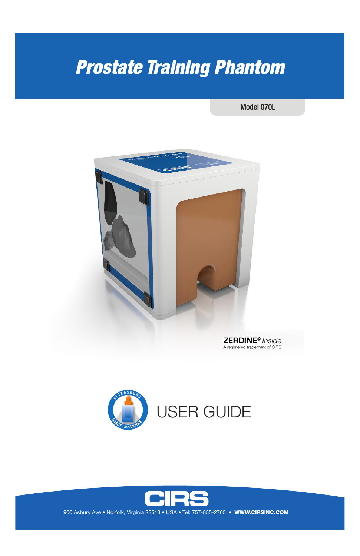# *Prostate Training Phantom*

Model 070L





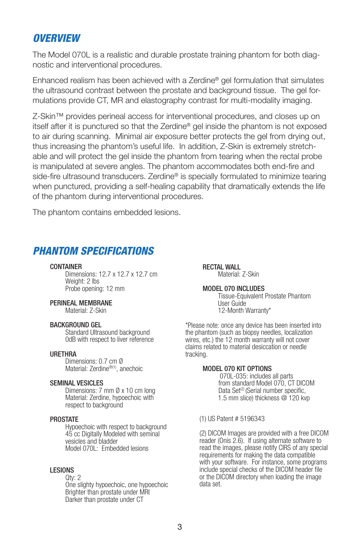## *OVERVIEW*

The Model 070L is a realistic and durable prostate training phantom for both diagnostic and interventional procedures.

Enhanced realism has been achieved with a Zerdine® gel formulation that simulates the ultrasound contrast between the prostate and background tissue. The gel formulations provide CT, MR and elastography contrast for multi-modality imaging.

Z-Skin™ provides perineal access for interventional procedures, and closes up on itself after it is punctured so that the Zerdine® gel inside the phantom is not exposed to air during scanning. Minimal air exposure better protects the gel from drying out, thus increasing the phantom's useful life. In addition, Z-Skin is extremely stretchable and will protect the gel inside the phantom from tearing when the rectal probe is manipulated at severe angles. The phantom accommodates both end-fire and side-fire ultrasound transducers. Zerdine<sup>®</sup> is specially formulated to minimize tearing when punctured, providing a self-healing capability that dramatically extends the life of the phantom during interventional procedures.

The phantom contains embedded lesions.

# *PHANTOM SPECIFICATIONS*

#### **CONTAINER**

 Dimensions: 12.7 x 12.7 x 12.7 cm Weight: 2 lbs Probe opening: 12 mm

#### PERINEAL MEMBRANE

Material: Z-Skin

#### BACKGROUND GEL

Standard Ultrasound background 0dB with respect to liver reference

## URETHRA

 Dimensions: 0.7 cm Ø Material: Zerdine®(1), anechoic

#### SEMINAL VESICLES

 Dimensions: 7 mm Ø x 10 cm long Material: Zerdine, hypoechoic with respect to background

#### PROSTATE

 Hypoechoic with respect to background 45 cc Digitally Modeled with seminal vesicles and bladder Model 070L: Embedded lesions

#### LESIONS

 Qty: 2 One slighty hypoechoic, one hypoechoic Brighter than prostate under MRI Darker than prostate under CT

RECTAL WALL Material: 7-Skin

MODEL 070 INCLUDES Tissue-Equivalent Prostate Phantom User Guide 12-Month Warranty\*

\*Please note: once any device has been inserted into the phantom (such as biopsy needles, localization wires, etc.) the 12 month warranty will not cover claims related to material desiccation or needle tracking.

#### MODEL 070 KIT OPTIONS

 070L-035: includes all parts from standard Model 070, CT DICOM Data Set<sup>(2)</sup> (Serial number specific, 1.5 mm slice) thickness @ 120 kvp

#### (1) US Patent # 5196343

(2) DICOM Images are provided with a free DICOM reader (Onis 2.6). If using alternate software to read the images, please notify CIRS of any special requirements for making the data compatible with your software. For instance, some programs include special checks of the DICOM header file or the DICOM directory when loading the image data set.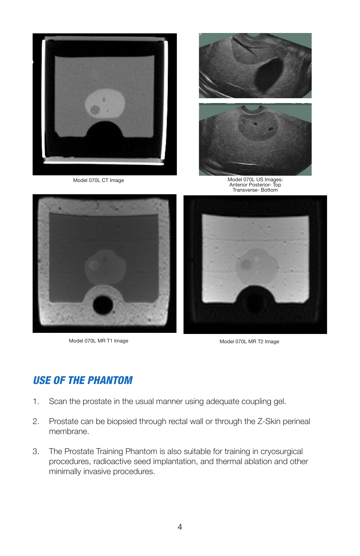

Model 070L MR T1 Image Model 070L MR T2 Image

# *USE OF THE PHANTOM*

- 1. Scan the prostate in the usual manner using adequate coupling gel.
- 2. Prostate can be biopsied through rectal wall or through the Z-Skin perineal membrane.
- 3. The Prostate Training Phantom is also suitable for training in cryosurgical procedures, radioactive seed implantation, and thermal ablation and other minimally invasive procedures.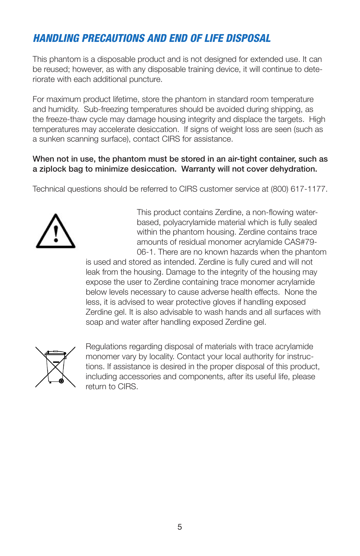# *HANDLING PRECAUTIONS AND END OF LIFE DISPOSAL*

This phantom is a disposable product and is not designed for extended use. It can be reused; however, as with any disposable training device, it will continue to deteriorate with each additional puncture.

For maximum product lifetime, store the phantom in standard room temperature and humidity. Sub-freezing temperatures should be avoided during shipping, as the freeze-thaw cycle may damage housing integrity and displace the targets. High temperatures may accelerate desiccation. If signs of weight loss are seen (such as a sunken scanning surface), contact CIRS for assistance.

## When not in use, the phantom must be stored in an air-tight container, such as a ziplock bag to minimize desiccation. Warranty will not cover dehydration.

Technical questions should be referred to CIRS customer service at (800) 617-1177.



This product contains Zerdine, a non-flowing waterbased, polyacrylamide material which is fully sealed within the phantom housing. Zerdine contains trace amounts of residual monomer acrylamide CAS#79- 06-1. There are no known hazards when the phantom

is used and stored as intended. Zerdine is fully cured and will not leak from the housing. Damage to the integrity of the housing may expose the user to Zerdine containing trace monomer acrylamide below levels necessary to cause adverse health effects. None the less, it is advised to wear protective gloves if handling exposed Zerdine gel. It is also advisable to wash hands and all surfaces with soap and water after handling exposed Zerdine gel.



Regulations regarding disposal of materials with trace acrylamide monomer vary by locality. Contact your local authority for instructions. If assistance is desired in the proper disposal of this product, including accessories and components, after its useful life, please return to CIRS.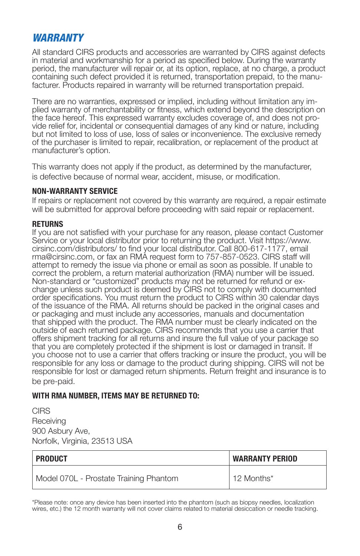# *WARRANTY*

All standard CIRS products and accessories are warranted by CIRS against defects in material and workmanship for a period as specified below. During the warranty period, the manufacturer will repair or, at its option, replace, at no charge, a product containing such defect provided it is returned, transportation prepaid, to the manu- facturer. Products repaired in warranty will be returned transportation prepaid.

There are no warranties, expressed or implied, including without limitation any im-<br>plied warranty of merchantability or fitness, which extend beyond the description on<br>the face hereof. This expressed warranty excludes cov vide relief for, incidental or consequential damages of any kind or nature, including but not limited to loss of use, loss of sales or inconvenience. The exclusive remedy of the purchaser is limited to repair, recalibration, or replacement of the product at manufacturer's option.

This warranty does not apply if the product, as determined by the manufacturer, is defective because of normal wear, accident, misuse, or modification.

### **NON-WARRANTY SERVICE**

If repairs or replacement not covered by this warranty are required, a repair estimate will be submitted for approval before proceeding with said repair or replacement.

## **RETURNS**

If you are not satisfied with your purchase for any reason, please contact Customer Service or your local distributor prior to returning the product. Visit https://www. cirsinc.com/distributors/ to find your local distributor. Call 800-617-1177, email rma@cirsinc.com, or fax an RMA request form to 757-857-0523. CIRS staff will attempt to remedy the issue via phone or email as soon as possible. If unable to correct the problem, a return material authorization (RMA) number will be issued. Non-standard or "customized" products may not be returned for refund or exchange unless such product is deemed by CIRS not to comply with documented order specifications. You must return the product to CIRS within 30 calendar days of the issuance of the RMA. All returns should be packed in the original cases and or packaging and must include any accessories, manuals and documentation that shipped with the product. The RMA number must be clearly indicated on the outside of each returned package. CIRS recommends that you use a carrier that offers shipment tracking for all returns and insure the full value of your package so that you are completely protected if the shipment is lost or damaged in transit. If you choose not to use a carrier that offers tracking or insure the product, you will be responsible for any loss or damage to the product during shipping. CIRS will not be responsible for lost or damaged return shipments. Return freight and insurance is to be pre-paid.

## **WITH RMA NUMBER, ITEMS MAY BE RETURNED TO:**

CIRS Receiving 900 Asbury Ave, Norfolk, Virginia, 23513 USA

| PRODUCT                                | <b>WARRANTY PERIOD</b> |
|----------------------------------------|------------------------|
| Model 070L - Prostate Training Phantom | $12$ Months*           |

<sup>\*</sup>Please note: once any device has been inserted into the phantom (such as biopsy needles, localization wires, etc.) the 12 month warranty will not cover claims related to material desiccation or needle tracking.